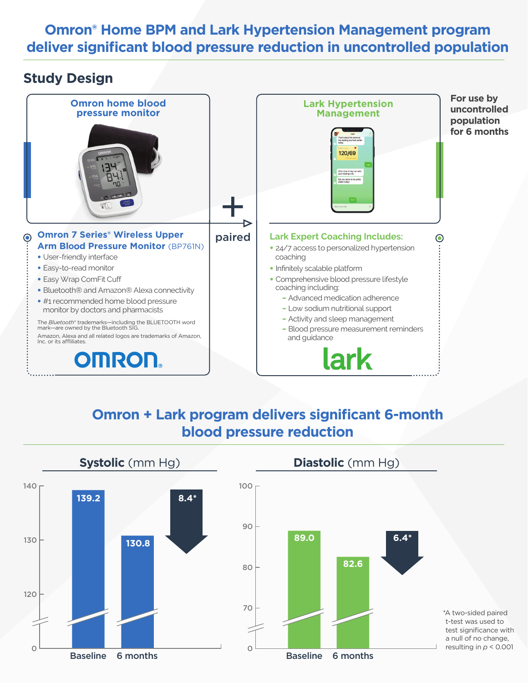### **Omron® Home BPM and Lark Hypertension Management program deliver significant blood pressure reduction in uncontrolled population**

### **Study Design**



## **Omron + Lark program delivers significant 6-month blood pressure reduction**